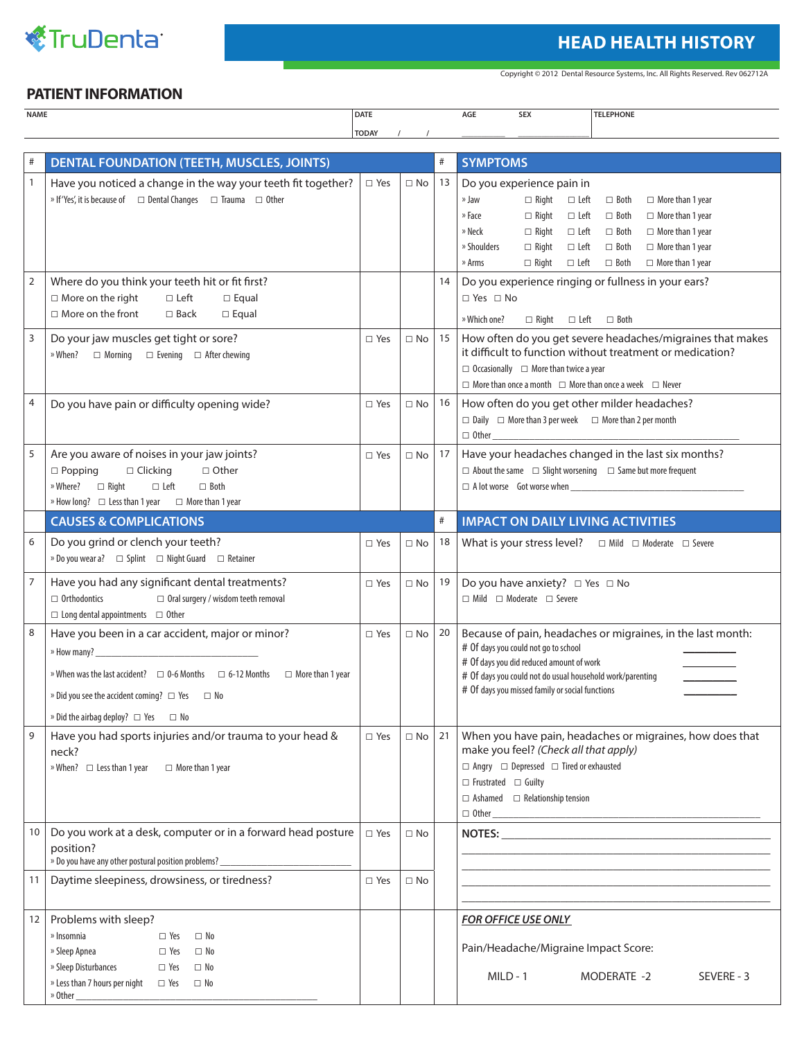

## **HEAD HEALTH HISTORY**

Copyright © 2012 Dental Resource Systems, Inc. All Rights Reserved. Rev 062712A

## **PATIENT INFORMATION**

| NAME | DATE         |  | .<br>AGE<br>the contract of the contract of | $- - -$<br><b>SE7</b><br>the contract of the contract of | <b>LEPHONE</b><br>.,<br>the contract of the contract of the contract of the contract of the contract of |
|------|--------------|--|---------------------------------------------|----------------------------------------------------------|---------------------------------------------------------------------------------------------------------|
|      | <b>TODAY</b> |  |                                             |                                                          |                                                                                                         |

|                | <b>DENTAL FOUNDATION (TEETH, MUSCLES, JOINTS)</b>                                                                                                                                                                                                                                           |               |              | $\#$ | <b>SYMPTOMS</b>                                                                                                                                                                                                                                                                                                                                                                                                                                              |
|----------------|---------------------------------------------------------------------------------------------------------------------------------------------------------------------------------------------------------------------------------------------------------------------------------------------|---------------|--------------|------|--------------------------------------------------------------------------------------------------------------------------------------------------------------------------------------------------------------------------------------------------------------------------------------------------------------------------------------------------------------------------------------------------------------------------------------------------------------|
| $\mathbf{1}$   | Have you noticed a change in the way your teeth fit together?<br>» If 'Yes', it is because of $\square$ Dental Changes $\square$ Trauma $\square$ Other                                                                                                                                     | $\square$ Yes | $\square$ No | 13   | Do you experience pain in<br>» Jaw<br>$\Box$ Right<br>$\Box$ Left<br>$\Box$ Both<br>$\Box$ More than 1 year<br>$\Box$ Right<br>» Face<br>$\Box$ Left<br>$\Box$ Both<br>$\Box$ More than 1 year<br>» Neck<br>$\Box$ Right<br>$\Box$ Left<br>$\Box$ Both<br>$\Box$ More than 1 year<br>» Shoulders<br>$\Box$ Right<br>$\Box$ Left<br>$\Box$ Both<br>$\Box$ More than 1 year<br>» Arms<br>$\Box$ Right<br>$\Box$ Left<br>$\Box$ Both<br>$\Box$ More than 1 year |
| $\overline{2}$ | Where do you think your teeth hit or fit first?<br>$\Box$ More on the right<br>$\Box$ Left<br>$\square$ Equal<br>$\Box$ More on the front<br>$\square$ Back<br>$\square$ Equal                                                                                                              |               |              | 14   | Do you experience ringing or fullness in your ears?<br>$\Box$ Yes $\Box$ No<br>$\Box$ Right $\Box$ Left $\Box$ Both<br>» Which one?                                                                                                                                                                                                                                                                                                                          |
| 3              | Do your jaw muscles get tight or sore?<br>$\Box$ Evening $\Box$ After chewing<br>» When?<br>$\Box$ Morning                                                                                                                                                                                  | $\square$ Yes | $\Box$ No    | 15   | How often do you get severe headaches/migraines that makes<br>it difficult to function without treatment or medication?<br>$\Box$ Occasionally $\Box$ More than twice a year<br>$\Box$ More than once a month $\Box$ More than once a week $\Box$ Never                                                                                                                                                                                                      |
| 4              | Do you have pain or difficulty opening wide?                                                                                                                                                                                                                                                | $\Box$ Yes    | $\Box$ No    | 16   | How often do you get other milder headaches?<br>$\Box$ Daily $\Box$ More than 3 per week $\Box$ More than 2 per month                                                                                                                                                                                                                                                                                                                                        |
| 5              | Are you aware of noises in your jaw joints?<br>$\Box$ Popping<br>$\Box$ Clicking<br>$\Box$ Other<br>$\Box$ Right<br>» Where?<br>$\Box$ Left<br>$\Box$ Both<br>» How long? $\Box$ Less than 1 year $\Box$ More than 1 year                                                                   | $\square$ Yes | $\Box$ No    | 17   | Have your headaches changed in the last six months?<br>$\Box$ About the same $\Box$ Slight worsening $\Box$ Same but more frequent                                                                                                                                                                                                                                                                                                                           |
|                | <b>CAUSES &amp; COMPLICATIONS</b>                                                                                                                                                                                                                                                           |               |              |      | <b>IMPACT ON DAILY LIVING ACTIVITIES</b>                                                                                                                                                                                                                                                                                                                                                                                                                     |
| 6              | Do you grind or clench your teeth?<br>» Do you wear a?<br>$\Box$ Splint $\Box$ Night Guard $\Box$ Retainer                                                                                                                                                                                  | $\Box$ Yes    | $\Box$ No    | 18   | What is your stress level? $\Box$ Mild $\Box$ Moderate $\Box$ Severe                                                                                                                                                                                                                                                                                                                                                                                         |
| 7              | Have you had any significant dental treatments?<br>$\Box$ Oral surgery / wisdom teeth removal<br>$\Box$ Orthodontics<br>$\Box$ Long dental appointments $\Box$ Other                                                                                                                        | $\Box$ Yes    | $\Box$ No    | 19   | Do you have anxiety? $\Box$ Yes $\Box$ No<br>$\Box$ Mild $\Box$ Moderate $\Box$ Severe                                                                                                                                                                                                                                                                                                                                                                       |
| 8              | Have you been in a car accident, major or minor?<br>» When was the last accident? $\Box$ 0-6 Months $\Box$ 6-12 Months<br>$\Box$ More than 1 year<br>$\triangleright$ Did you see the accident coming? $\Box$ Yes $\Box$ No<br>$\triangleright$ Did the airbag deploy? $\Box$ Yes $\Box$ No | $\square$ Yes | $\Box$ No    | 20   | Because of pain, headaches or migraines, in the last month:<br># Of days you could not go to school<br># Of days you did reduced amount of work<br># Of days you could not do usual household work/parenting<br># Of days you missed family or social functions                                                                                                                                                                                              |
|                | Have you had sports injuries and/or trauma to your head &<br>neck?<br>$\mathbb{R}$ When? $\Box$ Less than 1 year<br>$\Box$ More than 1 year                                                                                                                                                 | $\Box$ Yes    |              |      | $\Box$ No   21   When you have pain, headaches or migraines, how does that<br>make you feel? (Check all that apply)<br>$\Box$ Angry $\Box$ Depressed $\Box$ Tired or exhausted<br>$\Box$ Frustrated $\Box$ Guilty<br>$\Box$ Ashamed $\Box$ Relationship tension<br>$\hfill \Box \hspace{0.1cm} 0$ ther                                                                                                                                                       |
| 10             | Do you work at a desk, computer or in a forward head posture<br>position?<br>» Do you have any other postural position problems? ____________________________                                                                                                                               | $\Box$ Yes    | $\Box$ No    |      |                                                                                                                                                                                                                                                                                                                                                                                                                                                              |
| 11             | Daytime sleepiness, drowsiness, or tiredness?                                                                                                                                                                                                                                               | $\Box$ Yes    | $\Box$ No    |      |                                                                                                                                                                                                                                                                                                                                                                                                                                                              |
| 12             | Problems with sleep?<br>» Insomnia<br>$\Box$ Yes<br>$\Box$ No<br>» Sleep Apnea<br>$\square$ Yes<br>$\square$ No<br>» Sleep Disturbances<br>$\square$ Yes<br>$\Box$ No<br>$\triangleright$ Less than 7 hours per night $\Box$ Yes $\Box$ No<br>$\degree$ Other $\_\_\_\_\$                   |               |              |      | <b>FOR OFFICE USE ONLY</b><br>Pain/Headache/Migraine Impact Score:<br>$MILD - 1$<br>MODERATE -2<br>SEVERE - 3                                                                                                                                                                                                                                                                                                                                                |